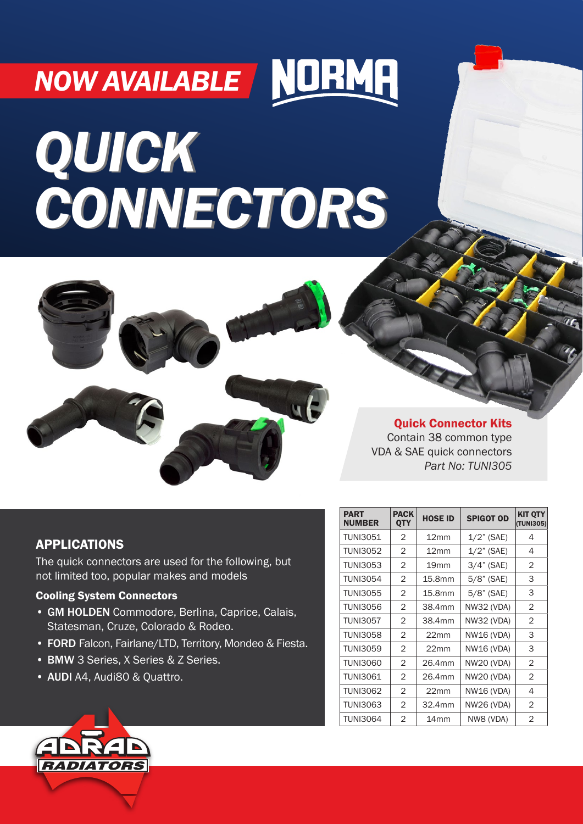# **NOW AVAILABLE** NORMH

# *QUICK CONNECTORS QUICK CONNECTORS*



Quick Connector Kits Contain 38 common type VDA & SAE quick connectors *Part No: TUNI305*

# APPLICATIONS

The quick connectors are used for the following, but not limited too, popular makes and models

# Cooling System Connectors

- GM HOLDEN Commodore, Berlina, Caprice, Calais, Statesman, Cruze, Colorado & Rodeo.
- FORD Falcon, Fairlane/LTD, Territory, Mondeo & Fiesta.
- BMW 3 Series, X Series & Z Series.
- AUDI A4, Audi80 & Quattro.